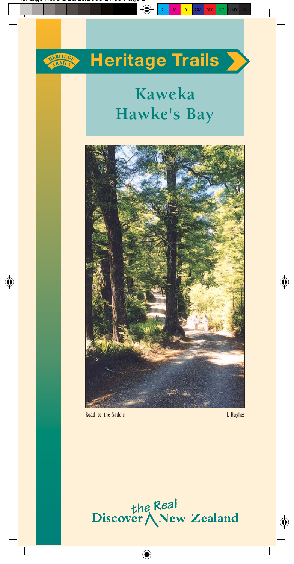

# **Heritage Trails >**

## **Kaweka Hawke's Bay**



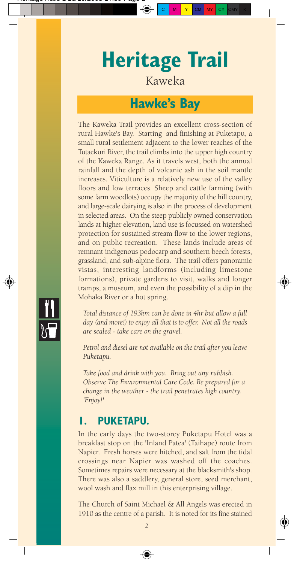## **Heritage Trail** Kaweka

## **Hawke's Bay**

The Kaweka Trail provides an excellent cross-section of rural Hawke's Bay. Starting and finishing at Puketapu, a small rural settlement adjacent to the lower reaches of the Tutaekuri River, the trail climbs into the upper high country of the Kaweka Range. As it travels west, both the annual rainfall and the depth of volcanic ash in the soil mantle increases. Viticulture is a relatively new use of the valley floors and low terraces. Sheep and cattle farming (with some farm woodlots) occupy the majority of the hill country, and large-scale dairying is also in the process of development in selected areas. On the steep publicly owned conservation lands at higher elevation, land use is focussed on watershed protection for sustained stream flow to the lower regions, and on public recreation. These lands include areas of remnant indigenous podocarp and southern beech forests, grassland, and sub-alpine flora. The trail offers panoramic vistas, interesting landforms (including limestone formations), private gardens to visit, walks and longer tramps, a museum, and even the possibility of a dip in the Mohaka River or a hot spring.

*Total distance of 193km can be done in 4hr but allow a full day (and more!) to enjoy all that is to offer. Not all the roads are sealed - take care on the gravel.*

*Petrol and diesel are not available on the trail after you leave Puketapu.*

*Take food and drink with you. Bring out any rubbish. Observe The Environmental Care Code. Be prepared for a change in the weather - the trail penetrates high country. 'Enjoy!'*

### **1. PUKETAPU.**

In the early days the two-storey Puketapu Hotel was a breakfast stop on the 'Inland Patea' (Taihape) route from Napier. Fresh horses were hitched, and salt from the tidal crossings near Napier was washed off the coaches. Sometimes repairs were necessary at the blacksmith's shop. There was also a saddlery, general store, seed merchant, wool wash and flax mill in this enterprising village.

The Church of Saint Michael & All Angels was erected in 1910 as the centre of a parish. It is noted for its fine stained

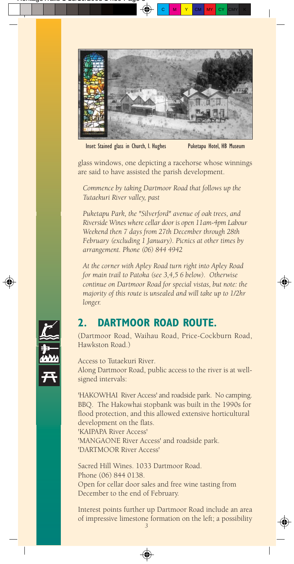

Inset: Stained glass in Church, I. Hughes Puketapu Hotel, HB Museum

glass windows, one depicting a racehorse whose winnings are said to have assisted the parish development.

*Commence by taking Dartmoor Road that follows up the Tutaekuri River valley, past*

*Puketapu Park, the "Silverford" avenue of oak trees, and Riverside Wines where cellar door is open 11am-4pm Labour Weekend then 7 days from 27th December through 28th February (excluding 1 January). Picnics at other times by arrangement. Phone (06) 844 4942*

*At the corner with Apley Road turn right into Apley Road for main trail to Patoka (see 3,4,5 6 below). Otherwise continue on Dartmoor Road for special vistas, but note: the majority of this route is unsealed and will take up to 1/2hr longer.*

### **2. DARTMOOR ROAD ROUTE.**

(Dartmoor Road, Waihau Road, Price-Cockburn Road, Hawkston Road.)

Access to Tutaekuri River. Along Dartmoor Road, public access to the river is at wellsigned intervals:

'HAKOWHAI River Access' and roadside park. No camping. BBQ. The Hakowhai stopbank was built in the 1990s for flood protection, and this allowed extensive horticultural development on the flats. 'KAIPAPA River Access' 'MANGAONE River Access' and roadside park.

'DARTMOOR River Access'

Sacred Hill Wines. 1033 Dartmoor Road. Phone (06) 844 0138. Open for cellar door sales and free wine tasting from December to the end of February.

*3* Interest points further up Dartmoor Road include an area of impressive limestone formation on the left; a possibility

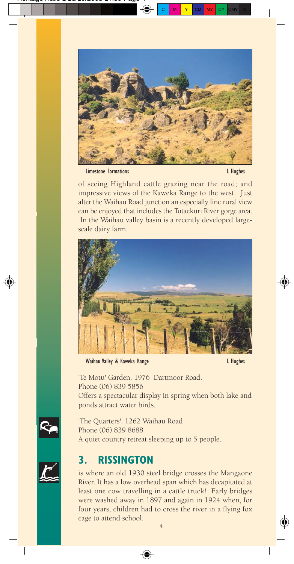

Limestone Formations **I. Hughes** 

of seeing Highland cattle grazing near the road; and impressive views of the Kaweka Range to the west. Just after the Waihau Road junction an especially fine rural view can be enjoyed that includes the Tutaekuri River gorge area. In the Waihau valley basin is a recently developed largescale dairy farm.



Waihau Valley & Kaweka Range I. Hughes

'Te Motu' Garden. 1976 Dartmoor Road. Phone (06) 839 5856 Offers a spectacular display in spring when both lake and ponds attract water birds.

'The Quarters'. 1262 Waihau Road Phone (06) 839 8688 A quiet country retreat sleeping up to 5 people.



#### **3. RISSINGTON**

is where an old 1930 steel bridge crosses the Mangaone River. It has a low overhead span which has decapitated at least one cow travelling in a cattle truck! Early bridges were washed away in 1897 and again in 1924 when, for four years, children had to cross the river in a flying fox cage to attend school.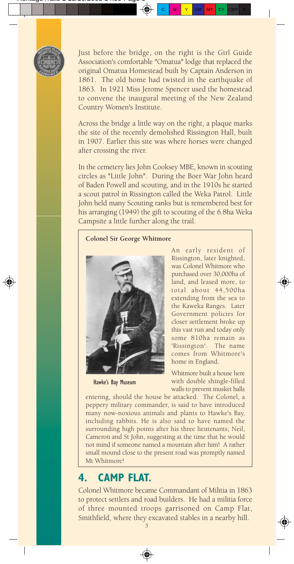

Just before the bridge, on the right is the Girl Guide Association's comfortable "Omatua" lodge that replaced the original Omatua Homestead built by Captain Anderson in 1861. The old home had twisted in the earthquake of 1863. In 1921 Miss Jerome Spencer used the homestead to convene the inaugural meeting of the New Zealand Country Women's Institute.

Across the bridge a little way on the right, a plaque marks the site of the recently demolished Rissington Hall, built in 1907. Earlier this site was where horses were changed after crossing the river.

In the cemetery lies John Cooksey MBE, known in scouting circles as "Little John". During the Boer War John heard of Baden Powell and scouting, and in the 1910s he started a scout patrol in Rissington called the Weka Patrol. Little John held many Scouting ranks but is remembered best for his arranging (1949) the gift to scouting of the 6.8ha Weka Campsite a little further along the trail.

#### **Colonel Sir George Whitmore**



Hawke's Bay Museum

An early resident of Rissington, later knighted, was Colonel Whitmore who purchased over 30,000ha of land, and leased more, to total about 44,500ha extending from the sea to the Kaweka Ranges. Later Government policies for closer settlement broke up this vast run and today only some 810ha remain as 'Rissington'. The name comes from Whitmore's home in England.

Whitmore built a house here with double shingle-filled walls to prevent musket balls

entering, should the house be attacked. The Colonel, a peppery military commander, is said to have introduced many now-noxious animals and plants to Hawke's Bay, including rabbits. He is also said to have named the surrounding high points after his three lieutenants; Neil, Cameron and St John, suggesting at the time that he would not mind if someone named a mountain after him! A rather small mound close to the present road was promptly named Mt Whitmore!

#### **4. CAMP FLAT.**

Colonel Whitmore became Commandant of Militia in 1863 to protect settlers and road builders. He had a militia force of three mounted troops garrisoned on Camp Flat, Smithfield, where they excavated stables in a nearby hill.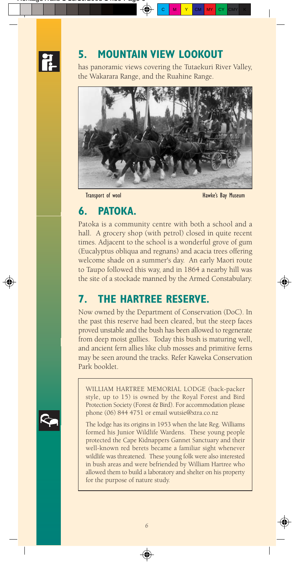

## **5. MOUNTAIN VIEW LOOKOUT**

has panoramic views covering the Tutaekuri River Valley, the Wakarara Range, and the Ruahine Range.



Transport of wool **Hawke's Bay Museum** 

## **6. PATOKA.**

Patoka is a community centre with both a school and a hall. A grocery shop (with petrol) closed in quite recent times. Adjacent to the school is a wonderful grove of gum (Eucalyptus obliqua and regnans) and acacia trees offering welcome shade on a summer's day. An early Maori route to Taupo followed this way, and in 1864 a nearby hill was the site of a stockade manned by the Armed Constabulary.

## **7. THE HARTREE RESERVE.**

Now owned by the Department of Conservation (DoC). In the past this reserve had been cleared, but the steep faces proved unstable and the bush has been allowed to regenerate from deep moist gullies. Today this bush is maturing well, and ancient fern allies like club mosses and primitive ferns may be seen around the tracks. Refer Kaweka Conservation Park booklet.

WILLIAM HARTREE MEMORIAL LODGE (back-packer style, up to 15) is owned by the Royal Forest and Bird Protection Society (Forest & Bird). For accommodation please phone (06) 844 4751 or email wutsie@xtra.co.nz

The lodge has its origins in 1953 when the late Reg. Williams formed his Junior Wildlife Wardens. These young people protected the Cape Kidnappers Gannet Sanctuary and their well-known red berets became a familiar sight whenever wildlife was threatened. These young folk were also interested in bush areas and were befriended by William Hartree who allowed them to build a laboratory and shelter on his property for the purpose of nature study.

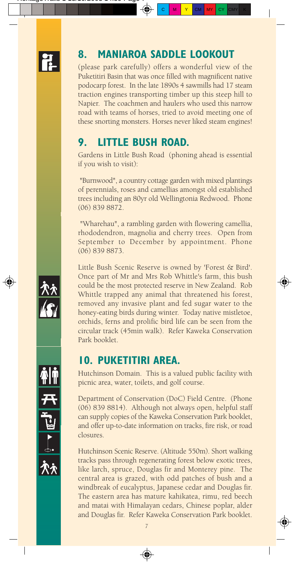

## **8. MANIAROA SADDLE LOOKOUT**

(please park carefully) offers a wonderful view of the Puketitiri Basin that was once filled with magnificent native podocarp forest. In the late 1890s 4 sawmills had 17 steam traction engines transporting timber up this steep hill to Napier. The coachmen and haulers who used this narrow road with teams of horses, tried to avoid meeting one of these snorting monsters. Horses never liked steam engines!

## **9. LITTLE BUSH ROAD.**

Gardens in Little Bush Road (phoning ahead is essential if you wish to visit):

"Burnwood", a country cottage garden with mixed plantings of perennials, roses and camellias amongst old established trees including an 80yr old Wellingtonia Redwood. Phone (06) 839 8872.

"Wharehau", a rambling garden with flowering camellia, rhododendron, magnolia and cherry trees. Open from September to December by appointment. Phone (06) 839 8873.

Little Bush Scenic Reserve is owned by 'Forest & Bird'. Once part of Mr and Mrs Rob Whittle's farm, this bush could be the most protected reserve in New Zealand. Rob Whittle trapped any animal that threatened his forest, removed any invasive plant and fed sugar water to the honey-eating birds during winter. Today native mistletoe, orchids, ferns and prolific bird life can be seen from the circular track (45min walk). Refer Kaweka Conservation Park booklet.

#### **10. PUKETITIRI AREA.**

Hutchinson Domain. This is a valued public facility with picnic area, water, toilets, and golf course.

Department of Conservation (DoC) Field Centre. (Phone (06) 839 8814). Although not always open, helpful staff can supply copies of the Kaweka Conservation Park booklet, and offer up-to-date information on tracks, fire risk, or road closures.

Hutchinson Scenic Reserve. (Altitude 550m). Short walking tracks pass through regenerating forest below exotic trees, like larch, spruce, Douglas fir and Monterey pine. The central area is grazed, with odd patches of bush and a windbreak of eucalyptus, Japanese cedar and Douglas fir. The eastern area has mature kahikatea, rimu, red beech and matai with Himalayan cedars, Chinese poplar, alder and Douglas fir. Refer Kaweka Conservation Park booklet.



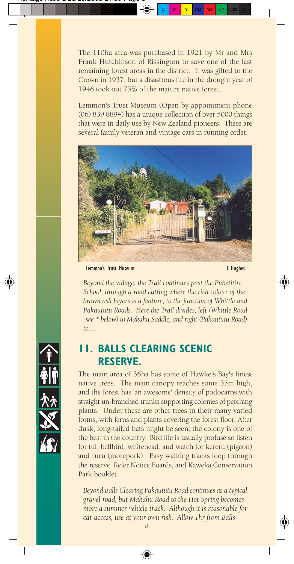The 110ha area was purchased in 1921 by Mr and Mrs Frank Hutchinson of Rissington to save one of the last remaining forest areas in the district. It was gifted to the Crown in 1937, but a disastrous fire in the drought year of 1946 took out 75% of the mature native forest.

Lemmon's Trust Museum (Open by appointment phone (06) 839 8894) has a unique collection of over 5000 things that were in daily use by New Zealand pioneers. There are several family veteran and vintage cars in running order.



Lemmon's Trust Museum **I.** Hughes

*Beyond the village, the Trail continues past the Puketitiri School, through a road cutting where the rich colour of the brown ash layers is a feature, to the junction of Whittle and Pakaututu Roads. Here the Trail divides, left (Whittle Road -see \* below) to Makahu Saddle, and right (Pakaututu Road) to....*

#### **11. BALLS CLEARING SCENIC RESERVE.**

The main area of 36ha has some of Hawke's Bay's finest native trees. The main canopy reaches some 35m high, and the forest has 'an awesome' density of podocarps with straight un-branched trunks supporting colonies of perching plants. Under these are other trees in their many varied forms, with ferns and plants covering the forest floor. After dusk, long-tailed bats might be seen; the colony is one of the best in the country. Bird life is usually profuse so listen for tui, bellbird, whitehead, and watch for kereru (pigeon) and ruru (morepork). Easy walking tracks loop through the reserve. Refer Notice Boards, and Kaweka Conservation Park booklet.

*Beyond Balls Clearing Pakaututu Road continues as a typical gravel road, but Makahu Road to the Hot Spring becomes more a summer vehicle track. Although it is reasonable for car access, use at your own risk. Allow 1hr from Balls*

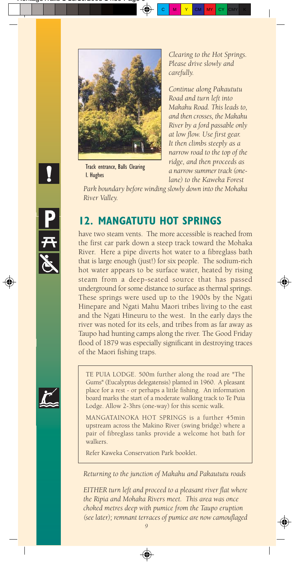

Track entrance, Balls Clearing I. Hughes

*Clearing to the Hot Springs. Please drive slowly and carefully.*

*Continue along Pakaututu Road and turn left into Makahu Road. This leads to, and then crosses, the Makahu River by a ford passable only at low flow. Use first gear. It then climbs steeply as a narrow road to the top of the ridge, and then proceeds as a narrow summer track (onelane) to the Kaweka Forest*

*Park boundary before winding slowly down into the Mohaka River Valley.*

#### **12. MANGATUTU HOT SPRINGS**

have two steam vents. The more accessible is reached from the first car park down a steep track toward the Mohaka River. Here a pipe diverts hot water to a fibreglass bath that is large enough (just!) for six people. The sodium-rich hot water appears to be surface water, heated by rising steam from a deep-seated source that has passed underground for some distance to surface as thermal springs. These springs were used up to the 1900s by the Ngati Hinepare and Ngati Mahu Maori tribes living to the east and the Ngati Hineuru to the west. In the early days the river was noted for its eels, and tribes from as far away as Taupo had hunting camps along the river. The Good Friday flood of 1879 was especially significant in destroying traces of the Maori fishing traps.

TE PUIA LODGE. 500m further along the road are "The Gums" (Eucalyptus delegatensis) planted in 1960. A pleasant place for a rest - or perhaps a little fishing. An information board marks the start of a moderate walking track to Te Puia Lodge. Allow 2-3hrs (one-way) for this scenic walk.

MANGATAINOKA HOT SPRINGS is a further 45min upstream across the Makino River (swing bridge) where a pair of fibreglass tanks provide a welcome hot bath for walkers.

Refer Kaweka Conservation Park booklet.

*Returning to the junction of Makahu and Pakaututu roads*

*EITHER turn left and proceed to a pleasant river flat where the Ripia and Mohaka Rivers meet. This area was once choked metres deep with pumice from the Taupo eruption (see later); remnant terraces of pumice are now camouflaged*





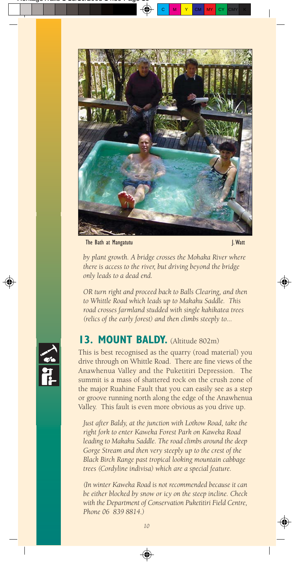

The Bath at Mangatutu J. Watt

*by plant growth. A bridge crosses the Mohaka River where there is access to the river, but driving beyond the bridge only leads to a dead end.*

*OR turn right and proceed back to Balls Clearing, and then to Whittle Road which leads up to Makahu Saddle. This road crosses farmland studded with single kahikatea trees (relics of the early forest) and then climbs steeply to...*

#### **13. MOUNT BALDY.** (Altitude 802m)

This is best recognised as the quarry (road material) you drive through on Whittle Road. There are fine views of the Anawhenua Valley and the Puketitiri Depression. The summit is a mass of shattered rock on the crush zone of the major Ruahine Fault that you can easily see as a step or groove running north along the edge of the Anawhenua Valley. This fault is even more obvious as you drive up.

*Just after Baldy, at the junction with Lotkow Road, take the right fork to enter Kaweka Forest Park on Kaweka Road leading to Makahu Saddle. The road climbs around the deep Gorge Stream and then very steeply up to the crest of the Black Birch Range past tropical looking mountain cabbage trees (Cordyline indivisa) which are a special feature.*

*(In winter Kaweka Road is not recommended because it can be either blocked by snow or icy on the steep incline. Check with the Department of Conservation Puketitiri Field Centre, Phone 06 839 8814.)*

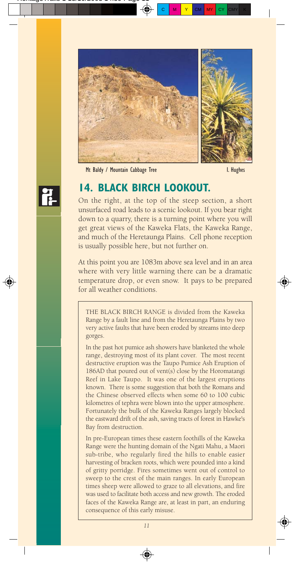

Mt Baldy / Mountain Cabbage Tree I. Hughes

#### **14. BLACK BIRCH LOOKOUT.**

On the right, at the top of the steep section, a short unsurfaced road leads to a scenic lookout. If you bear right down to a quarry, there is a turning point where you will get great views of the Kaweka Flats, the Kaweka Range, and much of the Heretaunga Plains. Cell phone reception is usually possible here, but not further on.

At this point you are 1083m above sea level and in an area where with very little warning there can be a dramatic temperature drop, or even snow. It pays to be prepared for all weather conditions.

THE BLACK BIRCH RANGE is divided from the Kaweka Range by a fault line and from the Heretaunga Plains by two very active faults that have been eroded by streams into deep gorges.

In the past hot pumice ash showers have blanketed the whole range, destroying most of its plant cover. The most recent destructive eruption was the Taupo Pumice Ash Eruption of 186AD that poured out of vent(s) close by the Horomatangi Reef in Lake Taupo. It was one of the largest eruptions known. There is some suggestion that both the Romans and the Chinese observed effects when some 60 to 100 cubic kilometres of tephra were blown into the upper atmosphere. Fortunately the bulk of the Kaweka Ranges largely blocked the eastward drift of the ash, saving tracts of forest in Hawke's Bay from destruction.

In pre-European times these eastern foothills of the Kaweka Range were the hunting domain of the Ngati Mahu, a Maori sub-tribe, who regularly fired the hills to enable easier harvesting of bracken roots, which were pounded into a kind of gritty porridge. Fires sometimes went out of control to sweep to the crest of the main ranges. In early European times sheep were allowed to graze to all elevations, and fire was used to facilitate both access and new growth. The eroded faces of the Kaweka Range are, at least in part, an enduring consequence of this early misuse.

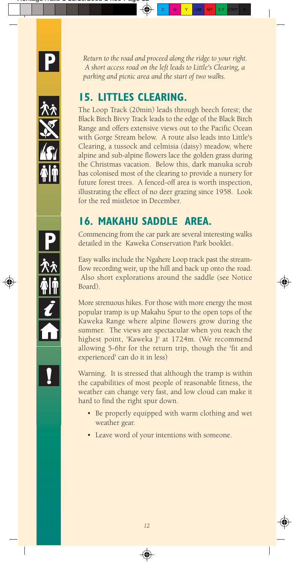



*Return to the road and proceed along the ridge to your right. A short access road on the left leads to Little's Clearing, a parking and picnic area and the start of two walks.*

### **15. LITTLES CLEARING.**

The Loop Track (20min) leads through beech forest; the Black Birch Bivvy Track leads to the edge of the Black Birch Range and offers extensive views out to the Pacific Ocean with Gorge Stream below. A route also leads into Little's Clearing, a tussock and celmisia (daisy) meadow, where alpine and sub-alpine flowers lace the golden grass during the Christmas vacation. Below this, dark manuka scrub has colonised most of the clearing to provide a nursery for future forest trees. A fenced-off area is worth inspection, illustrating the effect of no deer grazing since 1958. Look for the red mistletoe in December.

## **16. MAKAHU SADDLE AREA.**

Commencing from the car park are several interesting walks detailed in the Kaweka Conservation Park booklet.

Easy walks include the Ngahere Loop track past the streamflow recording weir, up the hill and back up onto the road. Also short explorations around the saddle (see Notice Board).

More strenuous hikes. For those with more energy the most popular tramp is up Makahu Spur to the open tops of the Kaweka Range where alpine flowers grow during the summer. The views are spectacular when you reach the highest point, 'Kaweka J' at 1724m. (We recommend allowing 5-6hr for the return trip, though the 'fit and experienced' can do it in less)

Warning. It is stressed that although the tramp is within the capabilities of most people of reasonable fitness, the weather can change very fast, and low cloud can make it hard to find the right spur down.

- Be properly equipped with warm clothing and wet weather gear.
- Leave word of your intentions with someone.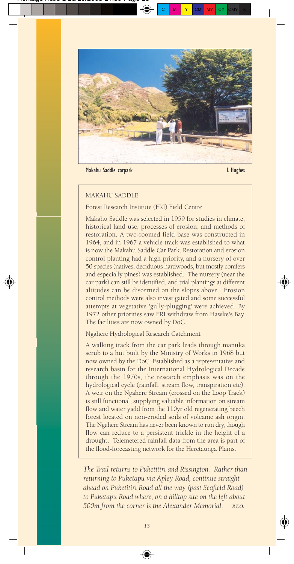

Makahu Saddle carpark **I. Hughes** 

#### MAKAHU SADDLE

Forest Research Institute (FRI) Field Centre.

Makahu Saddle was selected in 1959 for studies in climate, historical land use, processes of erosion, and methods of restoration. A two-roomed field base was constructed in 1964, and in 1967 a vehicle track was established to what is now the Makahu Saddle Car Park. Restoration and erosion control planting had a high priority, and a nursery of over 50 species (natives, deciduous hardwoods, but mostly conifers and especially pines) was established. The nursery (near the car park) can still be identified, and trial plantings at different altitudes can be discerned on the slopes above. Erosion control methods were also investigated and some successful attempts at vegetative 'gully-plugging' were achieved. By 1972 other priorities saw FRI withdraw from Hawke's Bay. The facilities are now owned by DoC.

Ngahere Hydrological Research Catchment

A walking track from the car park leads through manuka scrub to a hut built by the Ministry of Works in 1968 but now owned by the DoC. Established as a representative and research basin for the International Hydrological Decade through the 1970s, the research emphasis was on the hydrological cycle (rainfall, stream flow, transpiration etc). A weir on the Ngahere Stream (crossed on the Loop Track) is still functional, supplying valuable information on stream flow and water yield from the 110yr old regenerating beech forest located on non-eroded soils of volcanic ash origin. The Ngahere Stream has never been known to run dry, though flow can reduce to a persistent trickle in the height of a drought. Telemetered rainfall data from the area is part of the flood-forecasting network for the Heretaunga Plains.

*The Trail returns to Puketitiri and Rissington. Rather than returning to Puketapu via Apley Road, continue straight ahead on Puketitiri Road all the way (past Seafield Road) to Puketapu Road where, on a hilltop site on the left about 500m from the corner is the Alexander Memorial. P.T.O.*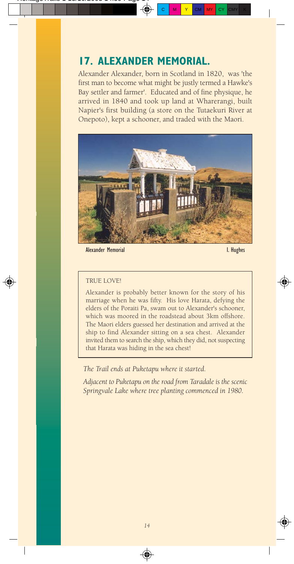## **17. ALEXANDER MEMORIAL.**

Alexander Alexander, born in Scotland in 1820, was 'the first man to become what might be justly termed a Hawke's Bay settler and farmer'. Educated and of fine physique, he arrived in 1840 and took up land at Wharerangi, built Napier's first building (a store on the Tutaekuri River at Onepoto), kept a schooner, and traded with the Maori.



#### TRUE LOVE!

Alexander is probably better known for the story of his marriage when he was fifty. His love Harata, defying the elders of the Poraiti Pa, swam out to Alexander's schooner, which was moored in the roadstead about 3km offshore. The Maori elders guessed her destination and arrived at the ship to find Alexander sitting on a sea chest. Alexander invited them to search the ship, which they did, not suspecting that Harata was hiding in the sea chest!

*The Trail ends at Puketapu where it started.*

*Adjacent to Puketapu on the road from Taradale is the scenic Springvale Lake where tree planting commenced in 1980.*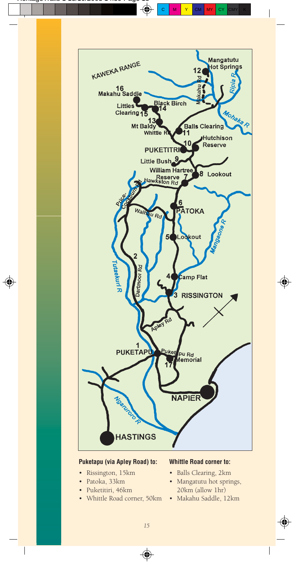

#### **Puketapu (via Apley Road) to:**

- Rissington, 15km
- Patoka, 33km
- Puketitiri, 46km
- Whittle Road corner, 50km Makahu Saddle, 12km

#### **Whittle Road corner to:**

- Balls Clearing, 2km
- Mangatutu hot springs, 20km (allow 1hr)
-